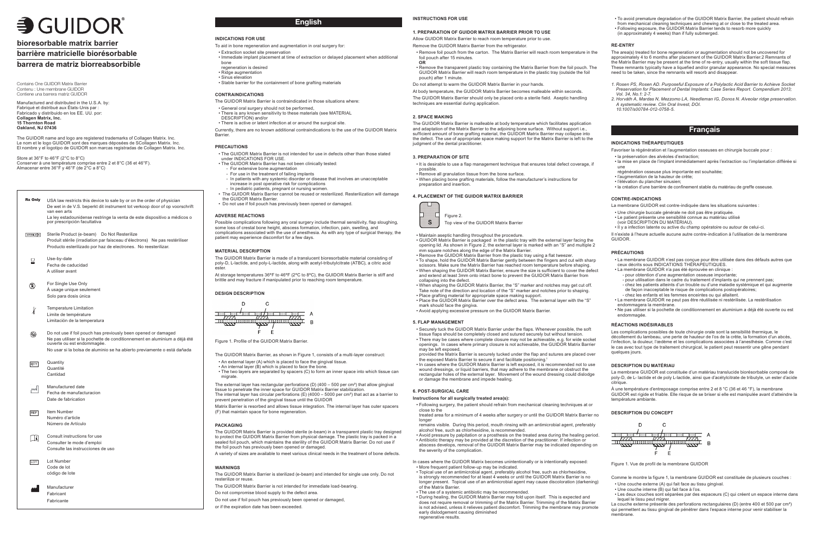### **INDICATIONS FOR USE**

- To aid in bone regeneration and augmentation in oral surgery for:
- Extraction socket site preservation
- Immediate implant placement at time of extraction or delayed placement when additional bone
- regeneration is desired
- Ridge augmentation • Sinus elevation
- Stable barrier for the containment of bone grafting materials

Currently, there are no known additional contraindications to the use of the GUIDOR Matrix **Barrier** 

#### **CONTRAINDICATIONS**

The GUIDOR Matrix Barrier is contraindicated in those situations where:

- General oral surgery should not be performed,
- There is any known sensitivity to these materials (see MATERIAL
- DESCRIPTION) and/or
- There is active or latent infection at or around the surgical site.

#### **PRECAUTIONS**

- The GUIDOR Matrix Barrier is not intended for use in defects other than those stated under INDICATIONS FOR USE.
- The GUIDOR Matrix Barrier has not been clinically tested:
	- For extensive bone augmentation
	- For use in the treatment of failing implants
- In patients with any systemic disorder or disease that involves an unacceptable increase in post operative risk for complications - In pediatric patients, pregnant or nursing women.
- The GUIDOR Matrix Barrier cannot be reused or resterilized. Resterilization will damage the GUIDOR Matrix Barrier.
- Do not use if foil pouch has previously been opened or damaged.

- An external layer (A) which is placed to face the gingival tissue. • An internal layer (B) which is placed to face the bone.
- The two layers are separated by spacers (C) to form an inner space into which tissue can migrate.

#### **ADVERSE REACTIONS**

Possible complications following any oral surgery include thermal sensitivity, flap sloughing, some loss of crestal bone height, abscess formation, infection, pain, swelling, and complications associated with the use of anesthesia. As with any type of surgical therapy, the patient may experience discomfort for a few days.

The GUIDOR Matrix Barrier is sterilized (e-beam) and intended for single use only. Do not resterilize or reuse

#### **MATERIAL DESCRIPTION**

The GUIDOR Matrix Barrier is made of a translucent bioresorbable material consisting of poly-D, L-lactide, and poly-L-lactide, along with acetyl-tributylcitrate (ATBC), a citric acid ester.

At storage temperatures 36ºF to 46ºF (2ºC to 8ºC), the GUIDOR Matrix Barrier is stiff and brittle and may fracture if manipulated prior to reaching room temperature.





Figure 1. Profile of the GUIDOR Matrix Barrier.

The GUIDOR Matrix Barrier, as shown in Figure 1, consists of a multi-layer construct:

The GUIDOR Matrix Barrier is malleable at body temperature which facilitates application and adaptation of the Matrix Barrier to the adjoining bone surface. Without support i.e., sufficient amount of bone grafting material, the GUIDOR Matrix Barrier may collapse into the defect. The use of appropriate space making support for the Matrix Barrier is left to the judgment of the dental practitioner

The external layer has rectangular perforations (D) (400 – 500 per cm²) that allow gingival tissue to penetrate the inner space for GUIDOR Matrix Barrier stabilization. The internal layer has circular perforations (E) (4000 – 5000 per cm<sup>2</sup>) that act as a barrier to prevent penetration of the gingival tissue until the GUIDOR

Matrix Barrier is resorbed and allows tissue integration. The internal layer has outer spacers (F) that maintain space for bone regeneration.

#### **PACKAGING**

The GUIDOR Matrix Barrier is provided sterile (e-beam) in a transparent plastic tray designed to protect the GUIDOR Matrix Barrier from physical damage. The plastic tray is packed in a sealed foil pouch, which maintains the sterility of the GUIDOR Matrix Barrier. Do not use if the foil pouch has previously been opened or damaged.

A variety of sizes are available to meet various clinical needs in the treatment of bone defects.

#### **WARNINGS**

The GUIDOR Matrix Barrier is not intended for immediate load-bearing.

Do not compromise blood supply to the defect area.

Do not use if foil pouch has previously been opened or damaged,

or if the expiration date has been exceeded.

# **INSTRUCTIONS FOR USE**

#### **1. PREPARATION OF GUIDOR MATRIX BARRIER PRIOR TO USE**

Allow GUIDOR Matrix Barrier to reach room temperature prior to use.

- Remove the GUIDOR Matrix Barrier from the refrigerator.
- Remove foil pouch from the carton. The Matrix Barrier will reach room temperature in the foil pouch after 15 minutes.
- **OR** • Remove the transparent plastic tray containing the Matrix Barrier from the foil pouch. The GUIDOR Matrix Barrier will reach room temperature in the plastic tray (outside the foil pouch) after 1 minute.

Do not attempt to warm the GUIDOR Matrix Barrier in your hands.

At body temperature, the GUIDOR Matrix Barrier becomes malleable within seconds.

The GUIDOR Matrix Barrier should only be placed onto a sterile field. Aseptic handling techniques are essential during application.

#### **2. SPACE MAKING**

#### **3. PREPARATION OF SITE**

- It is desirable to use a flap management technique that ensures total defect coverage, if possible.
- Remove all granulation tissue from the bone surface.
- When placing bone grafting materials, follow the manufacturer's instructions for preparation and insertion.

#### **4. PLACEMENT OF THE GUIDOR MATRIX BARRIER**

Il n'existe à l'heure actuelle aucune autre contre-indication à l'utilisation de la membrane **GUIDOR** 

Les complications possibles de toute chirurgie orale sont la sensibilité thermique, le décollement du lambeau, une perte de hauteur de l'os de la crête, la formation d'un abcès, l'infection, la douleur, l'œdème et les complications associées à l'anesthésie. Comme c'est le cas avec tout type de traitement chirurgical, le patient peut ressentir une gêne pendant quelques jours.

- Maintain aseptic handling throughout the procedure.
- GUIDOR Matrix Barrier is packaged in the plastic tray with the external layer facing the opening lid. As shown in Figure 2, the external layer is marked with an "S" and multiple 2 mm square notches along the edge of the Matrix Barrier.
- Remove the GUIDOR Matrix Barrier from the plastic tray using a flat tweezer. • To shape, hold the GUIDOR Matrix Barrier gently between the fingers and cut with sharp
- scissors. Make sure the Matrix Barrier has reached room temperature before shaping. • When shaping the GUIDOR Matrix Barrier, ensure the size is sufficient to cover the defect and extend at least 3mm onto intact bone to prevent the GUIDOR Matrix Barrier from collapsing into the defect.
- When shaping the GUIDOR Matrix Barrier, the "S" marker and notches may get cut off. Take note of the direction and location of the "S" marker and notches prior to shaping.
- Place grafting material for appropriate space making support. • Place the GUIDOR Matrix Barrier over the defect area. The external layer with the "S"
- mark should face the gingiva.

# • Avoid applying excessive pressure on the GUIDOR Matrix Barrier.

#### **5. FLAP MANAGEMENT**

- Securely tuck the GUIDOR Matrix Barrier under the flaps. Whenever possible, the soft tissue flaps should be completely closed and sutured securely but without tension.
- There may be cases where complete closure may not be achievable, e.g. for wide socket openings. In cases where primary closure is not achievable, the GUIDOR Matrix Barrier may be left exposed,
- provided the Matrix Barrier is securely tucked under the flap and sutures are placed over the exposed Matrix Barrier to secure it and facilitate positioning.1
- In cases where the GUIDOR Matrix Barrier is left exposed, it is recommended not to use wound dressings, or liquid barriers, that may adhere to the membrane or obstruct the rectangular holes of the external layer. Movement of the wound dressing could dislodge or damage the membrane and impede healing.

Store at 36°F to 46°F (2°C to 8°C) Conserver à une température comprise entre 2 et 8°C (36 et 46°F). Almacenar entre 36°F y 46°F (de 2°C a 8°C)

Rx Only USA law restricts this device to sale by or on the order of physician De wet in de V.S. beperkt dit instrument tot verkoop door of op voorschrift van een arts La ley estadounidense restringe la venta de este dispositivo a médicos o

#### **6. POST-SURGICAL CARE**

# **Instructions for all surgically treated area(s):**

**Quantity** QTY Quantité Cantidad

> • Following surgery, the patient should refrain from mechanical cleaning techniques at or close to the treated area for a minimum of 4 weeks after surgery or until the GUIDOR Matrix Barrier no

Manufacture Fabricant Fabricante

longer

alcohol free, such as chlorhexidine, is recommended.

the severity of the complication.

• More frequent patient follow-up may be indicated.

- 
- 
- 
- 
- 
- 
- 
- 
- remains visible. During this period, mouth rinsing with an antimicrobial agent, preferably
- Avoid pressure by palpitation or a prosthesis on the treated area during the healing period. • Antibiotic therapy may be provided at the discretion of the practitioner. If infection or abscess develops, removal of the GUIDOR Matrix Barrier may be indicated depending on
- In cases where the GUIDOR Matrix becomes unintentionally or is intentionally exposed:
- Topical use of an antimicrobial agent, preferably alcohol free, such as chlorhexidine,
- is strongly recommended for at least 4 weeks or until the GUIDOR Matrix Barrier is no longer present. Topical use of an antimicrobial agent may cause discoloration (darkening)
- During healing, the GUIDOR Matrix Barrier may fold upon itself. This is expected and does not require removal or trimming of the Matrix Barrier. Trimming of the Matrix Barrier is not advised, unless it relieves patient discomfort. Trimming the membrane may promote

of the Matrix Barrier.

• The use of a systemic antibiotic may be recommended.

early dislodgement causing diminished

regenerative results.

- To avoid premature degradation of the GUIDOR Matrix Barrier, the patient should refrain
- from mechanical cleaning techniques and chewing at or close to the treated area. • Following exposure, the GUIDOR Matrix Barrier tends to resorb more quickly
- (in approximately 4 weeks) than if fully submerged.

#### **RE-ENTRY**

The area(s) treated for bone regeneration or augmentation should not be uncovered for approximately 4 to 6 months after placement of the GUIDOR Matrix Barrier.2 Remnants of the Matrix Barrier may be present at the time of re-entry, usually within the soft tissue flap. These remnants typically have a liquefied and/or granular appearance. No special measures need to be taken, since the remnants will resorb and disappear.

- *1. Rosen PS, Rosen AD. Purposeful Exposure of a Polylactic Acid Barrier to Achieve Socket Preservation for Placement of Dental Implants: Case Series Report. Compendium 2013; Vol. 34, No.1: 2-7.*
- *2. Horváth A, Mardas N, Mezzomo LA, Needleman IG, Donos N. Alveolar ridge preservation. A systematic review. Clin Oral Invest, DOI. 10.1007/s00784-012-0758-5.*

#### **INDICATIONS THÉRAPEUTIQUES**

Favoriser la régénération et l'augmentation osseuses en chirurgie buccale pour :

- 
- 
- la préservation des alvéoles d'extraction;
- la mise en place de l'implant immédiatement après l'extraction ou l'implantation différée si une
- régénération osseuse plus importante est souhaitée;
- l'augmentation de la hauteur de crête; • l'élévation du plancher sinusien;
- la création d'une barrière de confinement stable du matériau de greffe osseuse.

#### **CONTRE-INDICATIONS**

La membrane GUIDOR est contre-indiquée dans les situations suivantes :

- Une chirurgie buccale générale ne doit pas être pratiquée. • Le patient présente une sensibilité connue au matériau utilisé
- (voir DESCRIPTION DU MATÉRIAU).
- Il y a infection latente ou active du champ opératoire ou autour de celui-ci.

#### **PRÉCAUTIONS**

- La membrane GUIDOR n'est pas conçue pour être utilisée dans des défauts autres que ceux décrits sous INDICATIONS THÉRAPEUTIQUES.
- La membrane GUIDOR n'a pas été éprouvée en clinique : - pour obtention d'une augmentation osseuse importante;
	- pour utilisation dans le cadre du traitement d'implants qui ne prennent pas;
- chez les patients atteints d'un trouble ou d'une maladie systémique et qui augmente de façon inacceptable le risque de complications postopératoires;
- chez les enfants et les femmes enceintes ou qui allaitent.
- La membrane GUIDOR ne peut pas être réutilisée ni restérilisée. La restérilisation endommagera la membrane.
- Ne pas utiliser si la pochette de conditionnement en aluminium a déjà été ouverte ou est endommagée.

#### **RÉACTIONS INDÉSIRABLES**

#### **DESCRIPTION DU MATÉRIAU**

La membrane GUIDOR est constituée d'un matériau translucide biorésorbable composé de poly-D, de L- lactide et de poly L-lactide, ainsi que d'acétylcitrate de tributyle, un ester d'acide citrique.

À une température d'entreposage comprise entre 2 et 8 °C (36 et 46 °F), la membrane GUIDOR est rigide et friable. Elle risque de se briser si elle est manipulée avant d'atteindre la température ambiante.

#### **DESCRIPTION DU CONCEPT**



Figure 1. Vue de profil de la membrane GUIDOR

- Comme le montre la figure 1, la membrane GUIDOR est constituée de plusieurs couches :
- Une couche externe (A) qui fait face au tissu gingival.
- Une couche interne (B) qui fait face à l'os.
- Les deux couches sont séparées par des espaceurs (C) qui créent un espace interne dans lequel le tissu peut migrer.

La couche externe présente des perforations rectangulaires (D) (entre 400 et 500 par cm²) qui permettent au tissu gingival de pénétrer dans l'espace interne pour venir stabiliser la membrane.

# $\equiv$  GUIDOR

# **bioresorbable matrix barrier**

# **barrière matricielle biorésorbable**

# **barrera de matriz biorreabsorbible**



Top view of the GUIDOR Matrix Barrier

# **English**

# **Français**

Contains One GUIDOR Matrix Barrier Contenu : Une membrane GUIDOR Contiene una barrera matriz GUIDOR

Manufactured and distributed in the U.S.A. by: Fabriqué et distribué aux États-Unis par : Fabricado y distribuido en los EE. UU. por: **Collagen Matrix, Inc. 15 Thornton Road Oakland, NJ 07436**

The GUIDOR name and logo are registered trademarks of Collagen Matrix. Inc. Le nom et le logo GUIDOR sont des marques déposées de SCollagen Matrix. Inc. El nombre y el logotipo de GUIDOR son marcas registradas de Collagen Matrix. Inc.

por prescripción facultativa

Sterile Product (e-beam) Do Not Resterilize Produit stérile (irradiation par faisceau d'électrons) Ne pas restériliser Producto esterilizado por haz de electrones. No reesterilizar.

REF Item Number Numéro d'article Número de Artículo

LOT Lot Number Code de lot código de lote

- Use-by-date Fecha de caducidad A utiliser avant
- For Single Use Only  $\circled{2}$ À usage unique seulement Solo para dosis única
- Temperature Limitation Limite de température Limitación de la temperatura
- Do not use if foil pouch has previously been opened or damaged  $\circledR$ Ne pas utiliser si la pochette de conditionnement en aluminium a déjà été ouverte ou est endommagée. No usar si la bolsa de aluminio se ha abierto previamente o está dañada

Manufactured date  $\mathbb{M}$ Fecha de manufacturacion Date de fabrication

Consult instructions for use 山 Consulter le mode d'emploi Consulte las instrucciones de uso